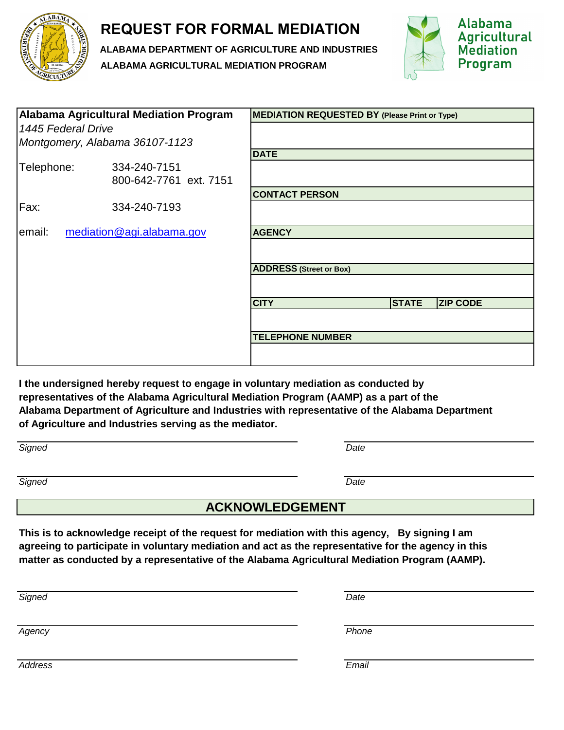

## **REQUEST FOR FORMAL MEDIATION**

**ALABAMA DEPARTMENT OF AGRICULTURE AND INDUSTRIES ALABAMA AGRICULTURAL MEDIATION PROGRAM**



| <b>Alabama Agricultural Mediation Program</b> |                                | <b>MEDIATION REQUESTED BY (Please Print or Type)</b> |              |                 |
|-----------------------------------------------|--------------------------------|------------------------------------------------------|--------------|-----------------|
| 1445 Federal Drive                            |                                |                                                      |              |                 |
|                                               | Montgomery, Alabama 36107-1123 |                                                      |              |                 |
|                                               |                                | <b>DATE</b>                                          |              |                 |
| Telephone:                                    | 334-240-7151                   |                                                      |              |                 |
|                                               | 800-642-7761 ext. 7151         |                                                      |              |                 |
|                                               |                                | <b>CONTACT PERSON</b>                                |              |                 |
| Fax:                                          | 334-240-7193                   |                                                      |              |                 |
| mediation@agi.alabama.gov<br>email:           |                                | <b>AGENCY</b>                                        |              |                 |
|                                               |                                |                                                      |              |                 |
|                                               |                                | <b>ADDRESS (Street or Box)</b>                       |              |                 |
|                                               |                                |                                                      |              |                 |
|                                               |                                | <b>CITY</b>                                          | <b>STATE</b> | <b>ZIP CODE</b> |
|                                               |                                |                                                      |              |                 |
|                                               |                                | <b>TELEPHONE NUMBER</b>                              |              |                 |
|                                               |                                |                                                      |              |                 |

**I the undersigned hereby request to engage in voluntary mediation as conducted by representatives of the Alabama Agricultural Mediation Program (AAMP) as a part of the Alabama Department of Agriculture and Industries with representative of the Alabama Department of Agriculture and Industries serving as the mediator.**

| Signed | Date |
|--------|------|
|        |      |

*Signed Date*

## **ACKNOWLEDGEMENT**

**This is to acknowledge receipt of the request for mediation with this agency, By signing I am agreeing to participate in voluntary mediation and act as the representative for the agency in this matter as conducted by a representative of the Alabama Agricultural Mediation Program (AAMP).**

*Signed Date*

*Agency Phone*

*Address Email*